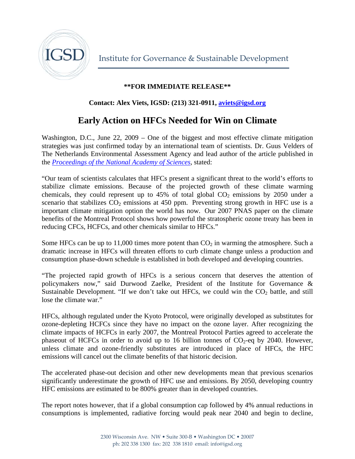

## **\*\*FOR IMMEDIATE RELEASE\*\***

## **Contact: Alex Viets, IGSD: (213) 321-0911, [aviets@igsd.org](mailto:aviets@igsd.org)**

## **Early Action on HFCs Needed for Win on Climate**

Washington, D.C., June 22, 2009 – One of the biggest and most effective climate mitigation strategies was just confirmed today by an international team of scientists. Dr. Guus Velders of The Netherlands Environmental Assessment Agency and lead author of the article published in the *[Proceedings of the National Academy of Sciences](http://www.pnas.org.proxy.library.ucsb.edu:2048/content/early/2009/06/19/0902817106.full.pdf+html?sid=3f6b342b-3ab2-45bc-b4bf-4f81f8a75cd5)*, stated:

"Our team of scientists calculates that HFCs present a significant threat to the world's efforts to stabilize climate emissions. Because of the projected growth of these climate warming chemicals, they could represent up to  $45\%$  of total global  $CO<sub>2</sub>$  emissions by 2050 under a scenario that stabilizes  $CO_2$  emissions at 450 ppm. Preventing strong growth in HFC use is a important climate mitigation option the world has now. Our 2007 PNAS paper on the climate benefits of the Montreal Protocol shows how powerful the stratospheric ozone treaty has been in reducing CFCs, HCFCs, and other chemicals similar to HFCs."

Some HFCs can be up to 11,000 times more potent than  $CO<sub>2</sub>$  in warming the atmosphere. Such a dramatic increase in HFCs will threaten efforts to curb climate change unless a production and consumption phase-down schedule is established in both developed and developing countries.

"The projected rapid growth of HFCs is a serious concern that deserves the attention of policymakers now," said Durwood Zaelke, President of the Institute for Governance & Sustainable Development. "If we don't take out HFCs, we could win the  $CO<sub>2</sub>$  battle, and still lose the climate war."

HFCs, although regulated under the Kyoto Protocol, were originally developed as substitutes for ozone-depleting HCFCs since they have no impact on the ozone layer. After recognizing the climate impacts of HCFCs in early 2007, the Montreal Protocol Parties agreed to accelerate the phaseout of HCFCs in order to avoid up to 16 billion tonnes of  $CO<sub>2</sub>$ -eq by 2040. However, unless climate and ozone-friendly substitutes are introduced in place of HFCs, the HFC emissions will cancel out the climate benefits of that historic decision.

The accelerated phase-out decision and other new developments mean that previous scenarios significantly underestimate the growth of HFC use and emissions. By 2050, developing country HFC emissions are estimated to be 800% greater than in developed countries.

The report notes however, that if a global consumption cap followed by 4% annual reductions in consumptions is implemented, radiative forcing would peak near 2040 and begin to decline,